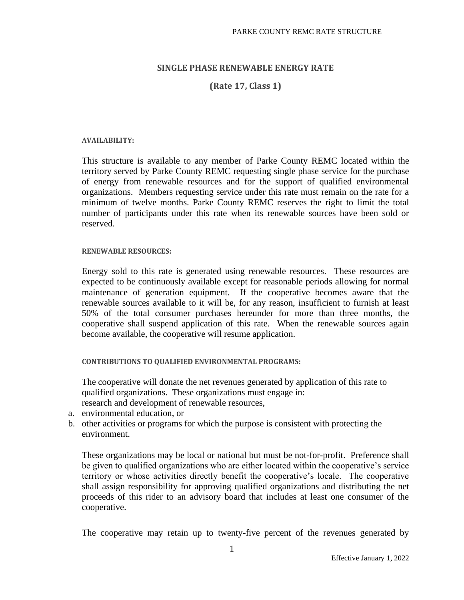### **SINGLE PHASE RENEWABLE ENERGY RATE**

**(Rate 17, Class 1)**

#### **AVAILABILITY:**

This structure is available to any member of Parke County REMC located within the territory served by Parke County REMC requesting single phase service for the purchase of energy from renewable resources and for the support of qualified environmental organizations. Members requesting service under this rate must remain on the rate for a minimum of twelve months. Parke County REMC reserves the right to limit the total number of participants under this rate when its renewable sources have been sold or reserved.

### **RENEWABLE RESOURCES:**

Energy sold to this rate is generated using renewable resources. These resources are expected to be continuously available except for reasonable periods allowing for normal maintenance of generation equipment. If the cooperative becomes aware that the renewable sources available to it will be, for any reason, insufficient to furnish at least 50% of the total consumer purchases hereunder for more than three months, the cooperative shall suspend application of this rate. When the renewable sources again become available, the cooperative will resume application.

**CONTRIBUTIONS TO QUALIFIED ENVIRONMENTAL PROGRAMS:**

The cooperative will donate the net revenues generated by application of this rate to qualified organizations. These organizations must engage in: research and development of renewable resources,

- a. environmental education, or
- b. other activities or programs for which the purpose is consistent with protecting the environment.

These organizations may be local or national but must be not-for-profit. Preference shall be given to qualified organizations who are either located within the cooperative's service territory or whose activities directly benefit the cooperative's locale. The cooperative shall assign responsibility for approving qualified organizations and distributing the net proceeds of this rider to an advisory board that includes at least one consumer of the cooperative.

The cooperative may retain up to twenty-five percent of the revenues generated by